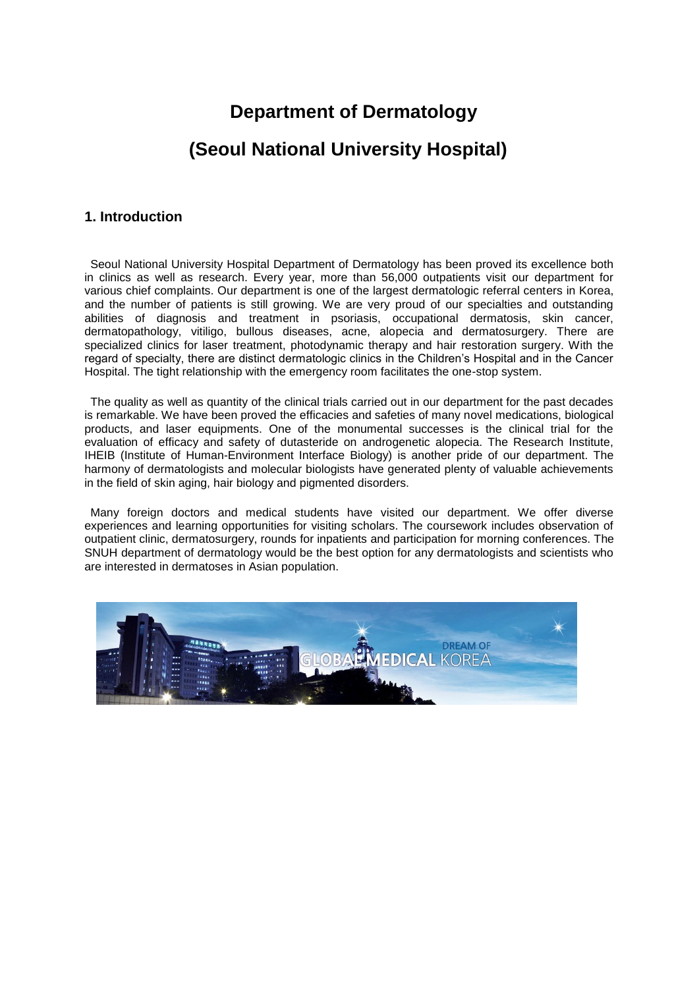# **Department of Dermatology**

## **(Seoul National University Hospital)**

### **1. Introduction**

Seoul National University Hospital Department of Dermatology has been proved its excellence both in clinics as well as research. Every year, more than 56,000 outpatients visit our department for various chief complaints. Our department is one of the largest dermatologic referral centers in Korea, and the number of patients is still growing. We are very proud of our specialties and outstanding abilities of diagnosis and treatment in psoriasis, occupational dermatosis, skin cancer, dermatopathology, vitiligo, bullous diseases, acne, alopecia and dermatosurgery. There are specialized clinics for laser treatment, photodynamic therapy and hair restoration surgery. With the regard of specialty, there are distinct dermatologic clinics in the Children's Hospital and in the Cancer Hospital. The tight relationship with the emergency room facilitates the one-stop system.

The quality as well as quantity of the clinical trials carried out in our department for the past decades is remarkable. We have been proved the efficacies and safeties of many novel medications, biological products, and laser equipments. One of the monumental successes is the clinical trial for the evaluation of efficacy and safety of dutasteride on androgenetic alopecia. The Research Institute, IHEIB (Institute of Human-Environment Interface Biology) is another pride of our department. The harmony of dermatologists and molecular biologists have generated plenty of valuable achievements in the field of skin aging, hair biology and pigmented disorders.

Many foreign doctors and medical students have visited our department. We offer diverse experiences and learning opportunities for visiting scholars. The coursework includes observation of outpatient clinic, dermatosurgery, rounds for inpatients and participation for morning conferences. The SNUH department of dermatology would be the best option for any dermatologists and scientists who are interested in dermatoses in Asian population.

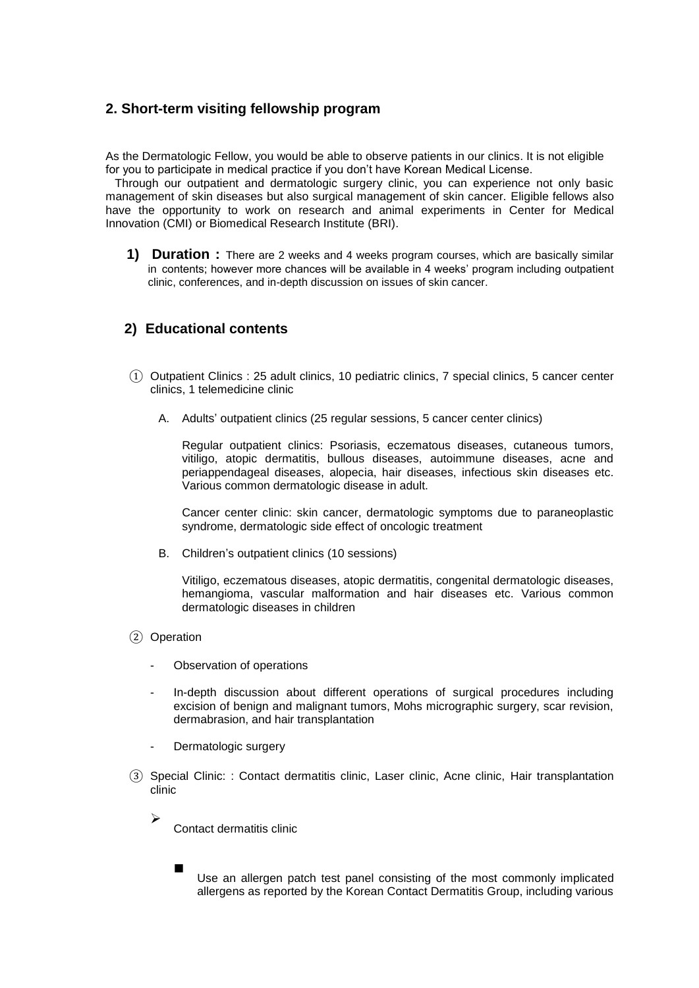## **2. Short-term visiting fellowship program**

As the Dermatologic Fellow, you would be able to observe patients in our clinics. It is not eligible for you to participate in medical practice if you don't have Korean Medical License.

Through our outpatient and dermatologic surgery clinic, you can experience not only basic management of skin diseases but also surgical management of skin cancer. Eligible fellows also have the opportunity to work on research and animal experiments in Center for Medical Innovation (CMI) or Biomedical Research Institute (BRI).

**1) Duration :** There are 2 weeks and 4 weeks program courses, which are basically similar in contents; however more chances will be available in 4 weeks' program including outpatient clinic, conferences, and in-depth discussion on issues of skin cancer.

## **2) Educational contents**

- ① Outpatient Clinics : 25 adult clinics, 10 pediatric clinics, 7 special clinics, 5 cancer center clinics, 1 telemedicine clinic
	- A. Adults' outpatient clinics (25 regular sessions, 5 cancer center clinics)

Regular outpatient clinics: Psoriasis, eczematous diseases, cutaneous tumors, vitiligo, atopic dermatitis, bullous diseases, autoimmune diseases, acne and periappendageal diseases, alopecia, hair diseases, infectious skin diseases etc. Various common dermatologic disease in adult.

Cancer center clinic: skin cancer, dermatologic symptoms due to paraneoplastic syndrome, dermatologic side effect of oncologic treatment

B. Children's outpatient clinics (10 sessions)

Vitiligo, eczematous diseases, atopic dermatitis, congenital dermatologic diseases, hemangioma, vascular malformation and hair diseases etc. Various common dermatologic diseases in children

② Operation

 $\blacktriangleright$ 

 $\blacksquare$ 

- Observation of operations
- In-depth discussion about different operations of surgical procedures including excision of benign and malignant tumors, Mohs micrographic surgery, scar revision, dermabrasion, and hair transplantation
- Dermatologic surgery
- ③ Special Clinic: : Contact dermatitis clinic, Laser clinic, Acne clinic, Hair transplantation clinic
	- Contact dermatitis clinic

Use an allergen patch test panel consisting of the most commonly implicated allergens as reported by the Korean Contact Dermatitis Group, including various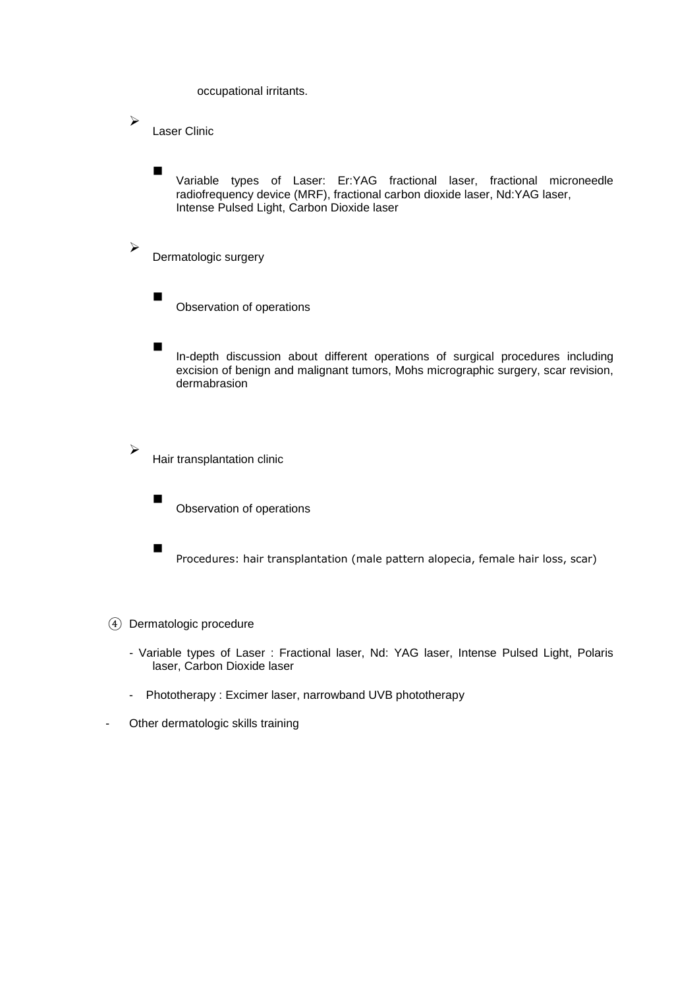occupational irritants.

Laser Clinic

 $\blacktriangleright$ 

 $\blacktriangleright$ 

➤

 $\blacksquare$ 

 Variable types of Laser: Er:YAG fractional laser, fractional microneedle radiofrequency device (MRF), fractional carbon dioxide laser, Nd:YAG laser, Intense Pulsed Light, Carbon Dioxide laser

Dermatologic surgery

 Observation of operations

In-depth discussion about different operations of surgical procedures including excision of benign and malignant tumors, Mohs micrographic surgery, scar revision, dermabrasion

Hair transplantation clinic

 Observation of operations

Procedures: hair transplantation (male pattern alopecia, female hair loss, scar)

④ Dermatologic procedure

- Variable types of Laser : Fractional laser, Nd: YAG laser, Intense Pulsed Light, Polaris laser, Carbon Dioxide laser
- Phototherapy : Excimer laser, narrowband UVB phototherapy
- Other dermatologic skills training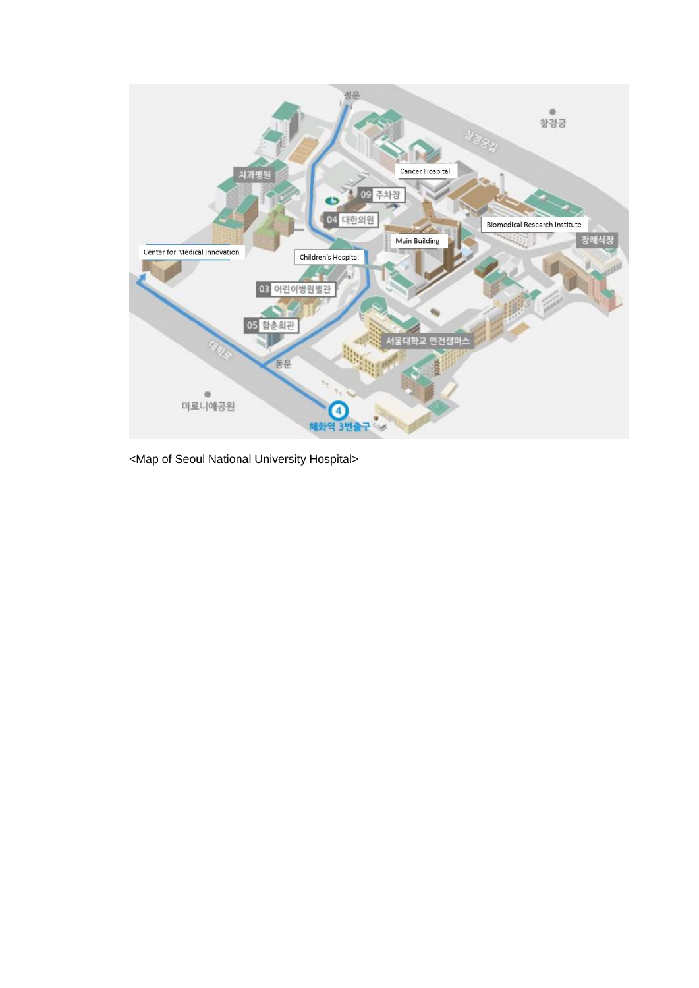

<Map of Seoul National University Hospital>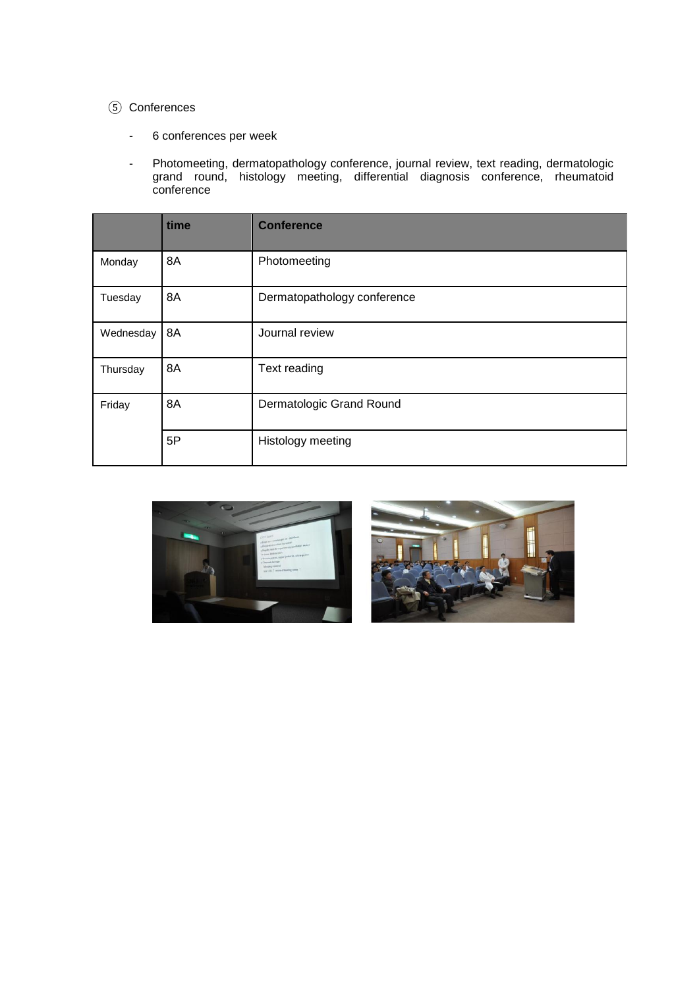### ⑤ Conferences

- 6 conferences per week
- Photomeeting, dermatopathology conference, journal review, text reading, dermatologic grand round, histology meeting, differential diagnosis conference, rheumatoid conference

|           | time | <b>Conference</b>           |  |
|-----------|------|-----------------------------|--|
| Monday    | 8A   | Photomeeting                |  |
| Tuesday   | 8A   | Dermatopathology conference |  |
| Wednesday | 8A   | Journal review              |  |
| Thursday  | 8A   | Text reading                |  |
| Friday    | 8A   | Dermatologic Grand Round    |  |
|           | 5P   | Histology meeting           |  |



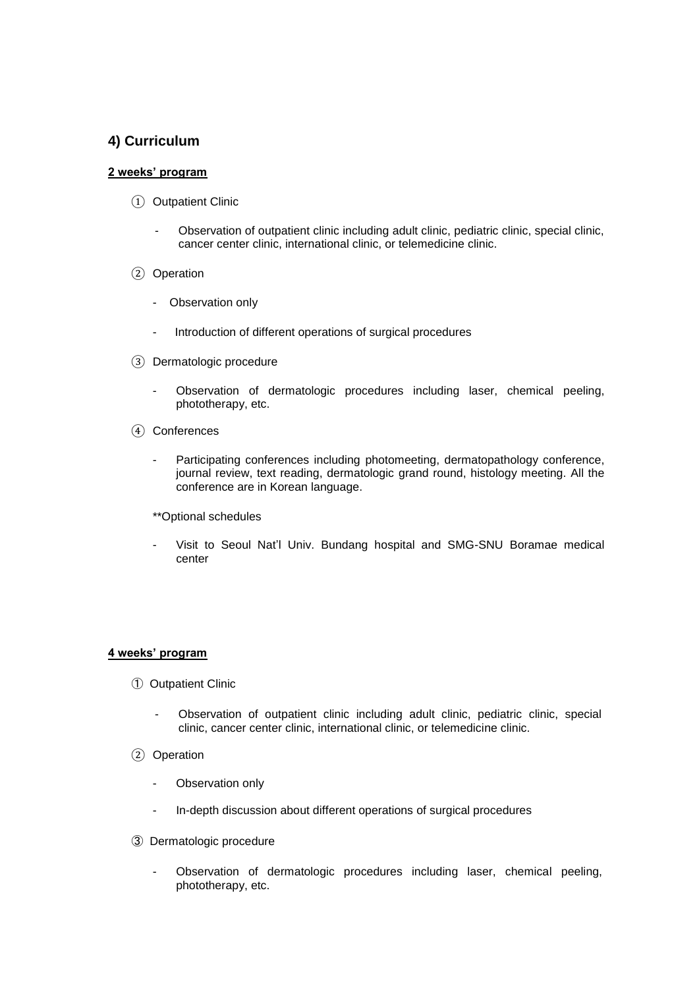## **4) Curriculum**

#### **2 weeks' program**

- ① Outpatient Clinic
	- Observation of outpatient clinic including adult clinic, pediatric clinic, special clinic, cancer center clinic, international clinic, or telemedicine clinic.
- ② Operation
	- Observation only
	- Introduction of different operations of surgical procedures
- ③ Dermatologic procedure
	- Observation of dermatologic procedures including laser, chemical peeling, phototherapy, etc.
- ④ Conferences
	- Participating conferences including photomeeting, dermatopathology conference, journal review, text reading, dermatologic grand round, histology meeting. All the conference are in Korean language.
	- \*\*Optional schedules
	- Visit to Seoul Nat'l Univ. Bundang hospital and SMG-SNU Boramae medical center

#### **4 weeks' program**

- ① Outpatient Clinic
	- Observation of outpatient clinic including adult clinic, pediatric clinic, special clinic, cancer center clinic, international clinic, or telemedicine clinic.
- ② Operation
	- Observation only
	- In-depth discussion about different operations of surgical procedures
- ③ Dermatologic procedure
	- Observation of dermatologic procedures including laser, chemical peeling, phototherapy, etc.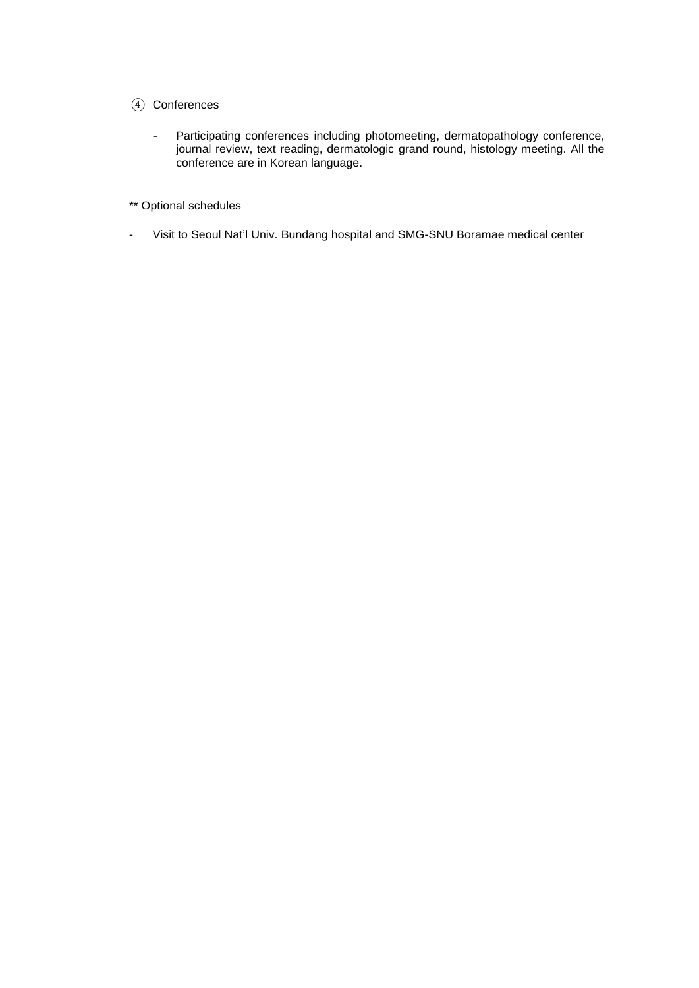### ④ Conferences

- Participating conferences including photomeeting, dermatopathology conference, journal review, text reading, dermatologic grand round, histology meeting. All the conference are in Korean language.
- \*\* Optional schedules
- Visit to Seoul Nat'l Univ. Bundang hospital and SMG-SNU Boramae medical center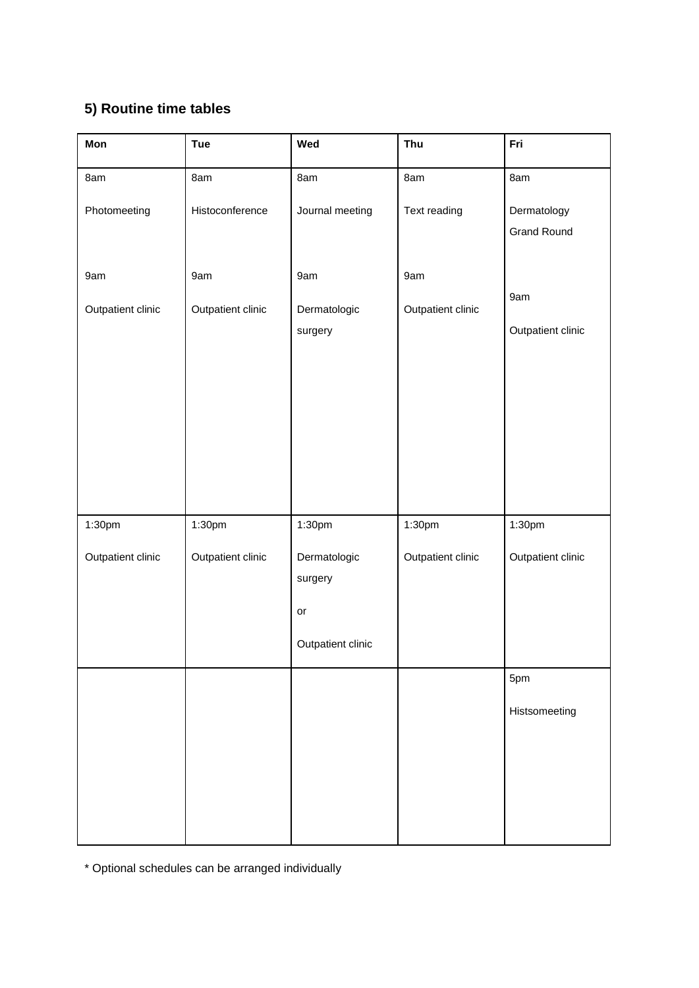## **5) Routine time tables**

| Mon               | <b>Tue</b>        | Wed                    | Thu               | Fri                               |
|-------------------|-------------------|------------------------|-------------------|-----------------------------------|
| 8am               | 8am               | 8am                    | 8am               | 8am                               |
| Photomeeting      | Histoconference   | Journal meeting        | Text reading      | Dermatology<br><b>Grand Round</b> |
|                   |                   |                        |                   |                                   |
| 9am               | 9am               | 9am                    | 9am               |                                   |
| Outpatient clinic | Outpatient clinic | Dermatologic           | Outpatient clinic | 9am                               |
|                   |                   | surgery                |                   | Outpatient clinic                 |
|                   |                   |                        |                   |                                   |
|                   |                   |                        |                   |                                   |
|                   |                   |                        |                   |                                   |
|                   |                   |                        |                   |                                   |
|                   |                   |                        |                   |                                   |
| 1:30pm            | 1:30pm            | 1:30pm                 | 1:30pm            | 1:30pm                            |
| Outpatient clinic | Outpatient clinic | Dermatologic           | Outpatient clinic | Outpatient clinic                 |
|                   |                   | surgery                |                   |                                   |
|                   |                   | $\mathop{\mathsf{or}}$ |                   |                                   |
|                   |                   | Outpatient clinic      |                   |                                   |
|                   |                   |                        |                   | 5pm                               |
|                   |                   |                        |                   | Histsomeeting                     |
|                   |                   |                        |                   |                                   |
|                   |                   |                        |                   |                                   |
|                   |                   |                        |                   |                                   |
|                   |                   |                        |                   |                                   |

\* Optional schedules can be arranged individually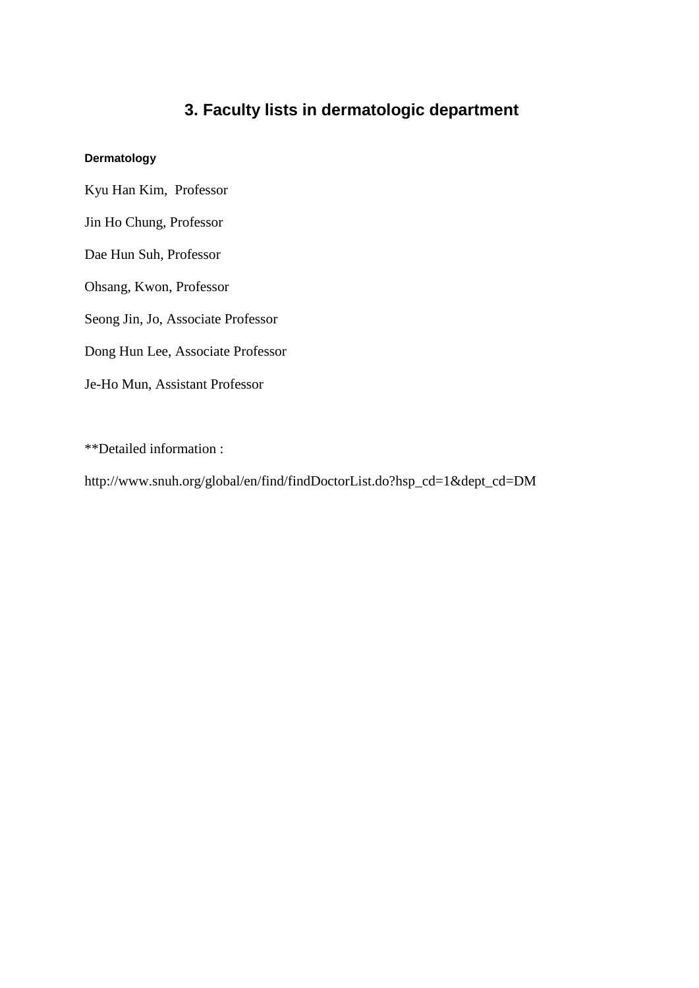## **3. Faculty lists in dermatologic department**

### **Dermatology**

Kyu Han Kim, Professor

Jin Ho Chung, Professor

Dae Hun Suh, Professor

Ohsang, Kwon, Professor

Seong Jin, Jo, Associate Professor

Dong Hun Lee, Associate Professor

Je-Ho Mun, Assistant Professor

\*\*Detailed information :

http://www.snuh.org/global/en/find/findDoctorList.do?hsp\_cd=1&dept\_cd=DM